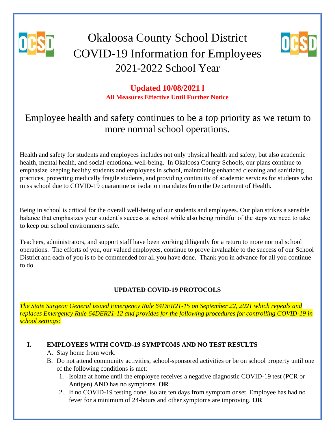

# Okaloosa County School District COVID-19 Information for Employees 2021-2022 School Year



## **Updated 10/08/2021 l All Measures Effective Until Further Notice**

## Employee health and safety continues to be a top priority as we return to more normal school operations.

Health and safety for students and employees includes not only physical health and safety, but also academic health, mental health, and social-emotional well-being. In Okaloosa County Schools, our plans continue to emphasize keeping healthy students and employees in school, maintaining enhanced cleaning and sanitizing practices, protecting medically fragile students, and providing continuity of academic services for students who miss school due to COVID-19 quarantine or isolation mandates from the Department of Health.

Being in school is critical for the overall well-being of our students and employees. Our plan strikes a sensible balance that emphasizes your student's success at school while also being mindful of the steps we need to take to keep our school environments safe.

Teachers, administrators, and support staff have been working diligently for a return to more normal school operations. The efforts of you, our valued employees, continue to prove invaluable to the success of our School District and each of you is to be commended for all you have done. Thank you in advance for all you continue to do.

## **UPDATED COVID-19 PROTOCOLS**

*The State Surgeon General issued Emergency Rule 64DER21-15 on September 22, 2021 which repeals and replaces Emergency Rule 64DER21-12 and provides for the following procedures for controlling COVID-19 in school settings:* 

## **I. EMPLOYEES WITH COVID-19 SYMPTOMS AND NO TEST RESULTS**

- A. Stay home from work.
- B. Do not attend community activities, school-sponsored activities or be on school property until one of the following conditions is met:
	- 1. Isolate at home until the employee receives a negative diagnostic COVID-19 test (PCR or Antigen) AND has no symptoms. **OR**
	- 2. If no COVID-19 testing done, isolate ten days from symptom onset. Employee has had no fever for a minimum of 24-hours and other symptoms are improving. **OR**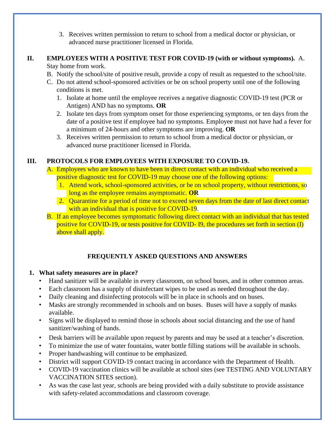3. Receives written permission to return to school from a medical doctor or physician, or advanced nurse practitioner licensed in Florida.

#### **II. EMPLOYEES WITH A POSITIVE TEST FOR COVID-19 (with or without symptoms).** A. Stay home from work.

- B. Notify the school/site of positive result, provide a copy of result as requested to the school/site.
- C. Do not attend school-sponsored activities or be on school property until one of the following conditions is met.
	- 1. Isolate at home until the employee receives a negative diagnostic COVID-19 test (PCR or Antigen) AND has no symptoms. **OR**
	- 2. Isolate ten days from symptom onset for those experiencing symptoms, or ten days from the date of a positive test if employee had no symptoms. Employee must not have had a fever for a minimum of 24-hours and other symptoms are improving. **OR**
	- 3. Receives written permission to return to school from a medical doctor or physician, or advanced nurse practitioner licensed in Florida.

## **III. PROTOCOLS FOR EMPLOYEES WITH EXPOSURE TO COVID-19.**

- A. Employees who are known to have been in direct contact with an individual who received a positive diagnostic test for COVID-19 may choose one of the following options:
	- 1. Attend work, school-sponsored activities, or be on school property, without restrictions, so long as the employee remains asymptomatic. **OR**
	- 2. Quarantine for a period of time not to exceed seven days from the date of last direct contact with an individual that is positive for COVID-19.
- B. If an employee becomes symptomatic following direct contact with an individual that has tested positive for COVID-19, or tests positive for COVID- I9, the procedures set forth in section (I) above shall apply.

## **FREQUENTLY ASKED QUESTIONS AND ANSWERS**

## **1. What safety measures are in place?**

- Hand sanitizer will be available in every classroom, on school buses, and in other common areas.
- Each classroom has a supply of disinfectant wipes to be used as needed throughout the day.
- Daily cleaning and disinfecting protocols will be in place in schools and on buses.
- Masks are strongly recommended in schools and on buses. Buses will have a supply of masks available.
- Signs will be displayed to remind those in schools about social distancing and the use of hand sanitizer/washing of hands.
- Desk barriers will be available upon request by parents and may be used at a teacher's discretion.
- To minimize the use of water fountains, water bottle filling stations will be available in schools.
- Proper handwashing will continue to be emphasized.
- District will support COVID-19 contact tracing in accordance with the Department of Health.
- COVID-19 vaccination clinics will be available at school sites (see TESTING AND VOLUNTARY VACCINATION SITES section).
- As was the case last year, schools are being provided with a daily substitute to provide assistance with safety-related accommodations and classroom coverage.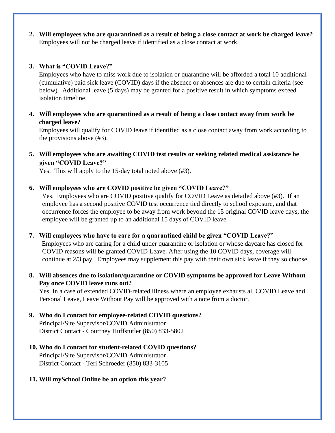**2. Will employees who are quarantined as a result of being a close contact at work be charged leave?**  Employees will not be charged leave if identified as a close contact at work.

#### **3. What is "COVID Leave?"**

Employees who have to miss work due to isolation or quarantine will be afforded a total 10 additional (cumulative) paid sick leave (COVID) days if the absence or absences are due to certain criteria (see below). Additional leave (5 days) may be granted for a positive result in which symptoms exceed isolation timeline.

**4. Will employees who are quarantined as a result of being a close contact away from work be charged leave?** 

Employees will qualify for COVID leave if identified as a close contact away from work according to the provisions above (#3).

**5. Will employees who are awaiting COVID test results or seeking related medical assistance be given "COVID Leave?"** 

Yes. This will apply to the 15-day total noted above (#3).

#### **6. Will employees who are COVID positive be given "COVID Leave?"**

Yes. Employees who are COVID positive qualify for COVID Leave as detailed above (#3). If an employee has a second positive COVID test occurrence tied directly to school exposure, and that occurrence forces the employee to be away from work beyond the 15 original COVID leave days, the employee will be granted up to an additional 15 days of COVID leave.

#### **7. Will employees who have to care for a quarantined child be given "COVID Leave?"**

Employees who are caring for a child under quarantine or isolation or whose daycare has closed for COVID reasons will be granted COVID Leave. After using the 10 COVID days, coverage will continue at 2/3 pay. Employees may supplement this pay with their own sick leave if they so choose.

#### **8. Will absences due to isolation/quarantine or COVID symptoms be approved for Leave Without Pay once COVID leave runs out?**

Yes. In a case of extended COVID-related illness where an employee exhausts all COVID Leave and Personal Leave, Leave Without Pay will be approved with a note from a doctor.

**9. Who do I contact for employee-related COVID questions?**  Principal/Site Supervisor/COVID Administrator District Contact - Courtney Huffstutler (850) 833-5802

#### **10. Who do I contact for student-related COVID questions?**  Principal/Site Supervisor/COVID Administrator District Contact - Teri Schroeder (850) 833-3105

#### **11. Will mySchool Online be an option this year?**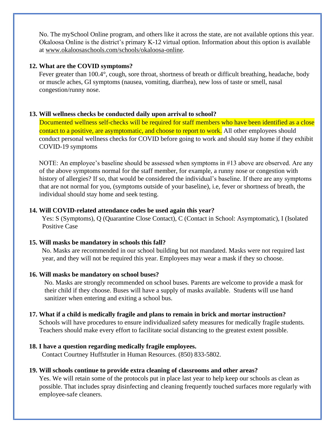No. The mySchool Online program, and others like it across the state, are not available options this year. Okaloosa Online is the district's primary K-12 virtual option. Information about this option is available at [www.okaloosaschools.com/schools/okaloosa-online.](http://www.okaloosaschools.com/schools/okaloosa-online) 

#### **12. What are the COVID symptoms?**

Fever greater than 100.4°, cough, sore throat, shortness of breath or difficult breathing, headache, body or muscle aches, GI symptoms (nausea, vomiting, diarrhea), new loss of taste or smell, nasal congestion/runny nose.

#### **13. Will wellness checks be conducted daily upon arrival to school?**

Documented wellness self-checks will be required for staff members who have been identified as a close contact to a positive, are asymptomatic, and choose to report to work. All other employees should conduct personal wellness checks for COVID before going to work and should stay home if they exhibit COVID-19 symptoms

NOTE: An employee's baseline should be assessed when symptoms in #13 above are observed. Are any of the above symptoms normal for the staff member, for example, a runny nose or congestion with history of allergies? If so, that would be considered the individual's baseline. If there are any symptoms that are not normal for you, (symptoms outside of your baseline), i.e, fever or shortness of breath, the individual should stay home and seek testing.

#### **14. Will COVID-related attendance codes be used again this year?**

Yes: S (Symptoms), Q (Quarantine Close Contact), C (Contact in School: Asymptomatic), I (Isolated Positive Case

#### **15. Will masks be mandatory in schools this fall?**

No. Masks are recommended in our school building but not mandated. Masks were not required last year, and they will not be required this year. Employees may wear a mask if they so choose.

#### **16. Will masks be mandatory on school buses?**

No. Masks are strongly recommended on school buses. Parents are welcome to provide a mask for their child if they choose. Buses will have a supply of masks available. Students will use hand sanitizer when entering and exiting a school bus.

#### **17. What if a child is medically fragile and plans to remain in brick and mortar instruction?**

Schools will have procedures to ensure individualized safety measures for medically fragile students. Teachers should make every effort to facilitate social distancing to the greatest extent possible.

#### **18. I have a question regarding medically fragile employees.**

Contact Courtney Huffstutler in Human Resources. (850) 833-5802.

#### **19. Will schools continue to provide extra cleaning of classrooms and other areas?**

Yes. We will retain some of the protocols put in place last year to help keep our schools as clean as possible. That includes spray disinfecting and cleaning frequently touched surfaces more regularly with employee-safe cleaners.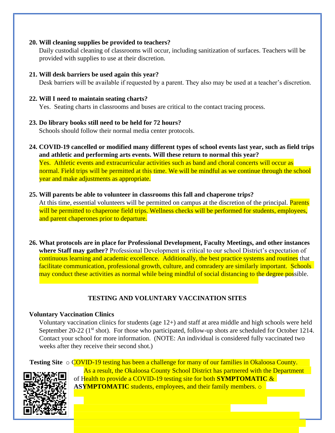#### **20. Will cleaning supplies be provided to teachers?**

Daily custodial cleaning of classrooms will occur, including sanitization of surfaces. Teachers will be provided with supplies to use at their discretion.

#### **21. Will desk barriers be used again this year?**

Desk barriers will be available if requested by a parent. They also may be used at a teacher's discretion.

#### **22. Will I need to maintain seating charts?**

Yes. Seating charts in classrooms and buses are critical to the contact tracing process.

#### **23. Do library books still need to be held for 72 hours?**

Schools should follow their normal media center protocols.

**24. COVID-19 cancelled or modified many different types of school events last year, such as field trips and athletic and performing arts events. Will these return to normal this year?** 

Yes. Athletic events and extracurricular activities such as band and choral concerts will occur as normal. Field trips will be permitted at this time. We will be mindful as we continue through the school year and make adjustments as appropriate.

#### **25. Will parents be able to volunteer in classrooms this fall and chaperone trips?**

At this time, essential volunteers will be permitted on campus at the discretion of the principal. Parents will be permitted to chaperone field trips. Wellness checks will be performed for students, employees, and parent chaperones prior to departure.

**26. What protocols are in place for Professional Development, Faculty Meetings, and other instances where Staff may gather?** Professional Development is critical to our school District's expectation of continuous learning and academic excellence. Additionally, the best practice systems and routines that facilitate communication, professional growth, culture, and comradery are similarly important. Schools may conduct these activities as normal while being mindful of social distancing to the degree possible.

## **TESTING AND VOLUNTARY VACCINATION SITES**

#### **Voluntary Vaccination Clinics**

Voluntary vaccination clinics for students (age 12+) and staff at area middle and high schools were held September 20-22 ( $1<sup>st</sup>$  shot). For those who participated, follow-up shots are scheduled for October 1214. Contact your school for more information. (NOTE: An individual is considered fully vaccinated two weeks after they receive their second shot.)

**Testing Site**  $\circ$  COVID-19 testing has been a challenge for many of our families in Okaloosa County. As a result, the Okaloosa County School District has partnered with the Department of Health to provide a COVID-19 testing site for both **SYMPTOMATIC** & **ASYMPTOMATIC** students, employees, and their family members.  $\circ$ 

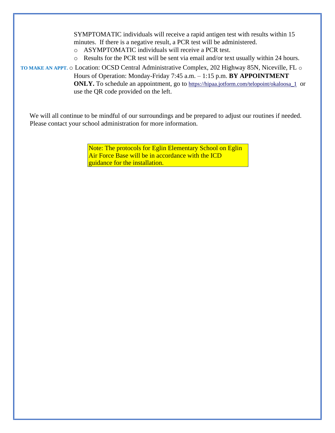SYMPTOMATIC individuals will receive a rapid antigen test with results within 15 minutes. If there is a negative result, a PCR test will be administered.

- o ASYMPTOMATIC individuals will receive a PCR test.
- o Results for the PCR test will be sent via email and/or text usually within 24 hours.

**TO MAKE AN APPT.** o Location: OCSD Central Administrative Complex, 202 Highway 85N, Niceville, FL o Hours of Operation: Monday-Friday 7:45 a.m. – 1:15 p.m. **BY APPOINTMENT ONLY.** To schedule an appointment, go to [https://hipaa.jotform.com/telopoint/okaloosa\\_1](https://urldefense.com/v3/__https:/hipaa.jotform.com/telopoint/okaloosa_1__;!!B6dj6w!umfbGZqo1qQuSP_FkIF2R1tMdwzt7ztQW8t0eZSOmyiNXe-PANu67jgKkVoMvG1ZZWT6BQ$) or use the QR code provided on the left.

We will all continue to be mindful of our surroundings and be prepared to adjust our routines if needed.

Please contact your school administration for more information.

Note: The protocols for Eglin Elementary School on Eglin Air Force Base will be in accordance with the ICD guidance for the installation.